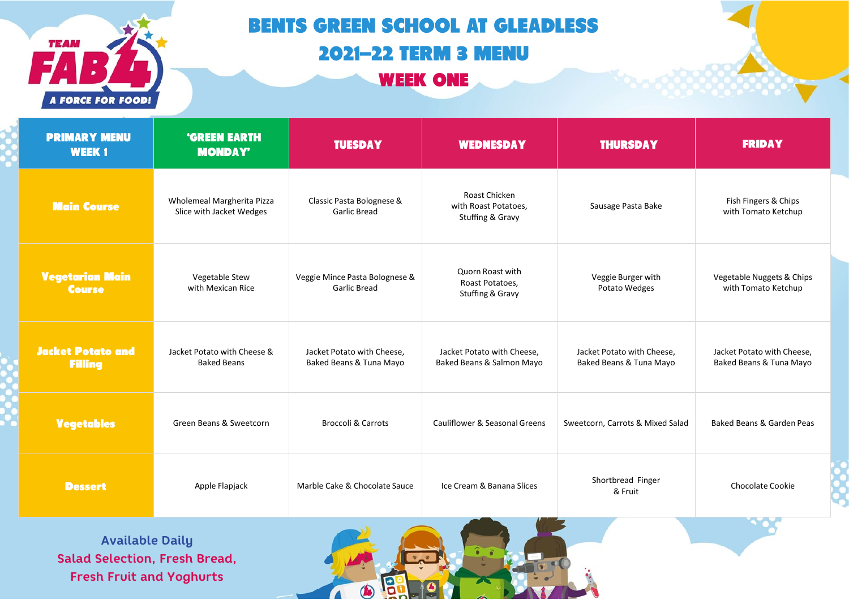

## **BENTS GREEN SCHOOL AT GLEADLESS 2021-22 TERM 3 MENU**

**WEEK ONE** 

| <b>PRIMARY MENU</b><br><b>WEEK1</b>        | <b>'GREEN EARTH</b><br><b>MONDAY'</b>                  | <b>TUESDAY</b>                                        | <b>WEDNESDAY</b>                                          | <b>THURSDAY</b>                                       | <b>FRIDAY</b>                                         |  |
|--------------------------------------------|--------------------------------------------------------|-------------------------------------------------------|-----------------------------------------------------------|-------------------------------------------------------|-------------------------------------------------------|--|
| <b>Main Course</b>                         | Wholemeal Margherita Pizza<br>Slice with Jacket Wedges | Classic Pasta Bolognese &<br><b>Garlic Bread</b>      | Roast Chicken<br>with Roast Potatoes,<br>Stuffing & Gravy | Sausage Pasta Bake                                    | Fish Fingers & Chips<br>with Tomato Ketchup           |  |
| <b>Vegetarian Main</b><br><b>Course</b>    | Vegetable Stew<br>with Mexican Rice                    | Veggie Mince Pasta Bolognese &<br><b>Garlic Bread</b> | Quorn Roast with<br>Roast Potatoes,<br>Stuffing & Gravy   | Veggie Burger with<br>Potato Wedges                   | Vegetable Nuggets & Chips<br>with Tomato Ketchup      |  |
| <b>Jacket Potato and</b><br><b>Filling</b> | Jacket Potato with Cheese &<br><b>Baked Beans</b>      | Jacket Potato with Cheese,<br>Baked Beans & Tuna Mayo | Jacket Potato with Cheese,<br>Baked Beans & Salmon Mayo   | Jacket Potato with Cheese,<br>Baked Beans & Tuna Mayo | Jacket Potato with Cheese,<br>Baked Beans & Tuna Mayo |  |
| <b>Vegetables</b>                          | Green Beans & Sweetcorn                                | <b>Broccoli &amp; Carrots</b>                         | Cauliflower & Seasonal Greens                             | Sweetcorn, Carrots & Mixed Salad                      | Baked Beans & Garden Peas                             |  |
| <b>Dessert</b>                             | Apple Flapjack                                         | Marble Cake & Chocolate Sauce                         | Ice Cream & Banana Slices                                 | Shortbread Finger<br>& Fruit                          | <b>Chocolate Cookie</b>                               |  |

**Available Daily Salad Selection, Fresh Bread, Fresh Fruit and Yoghurts**

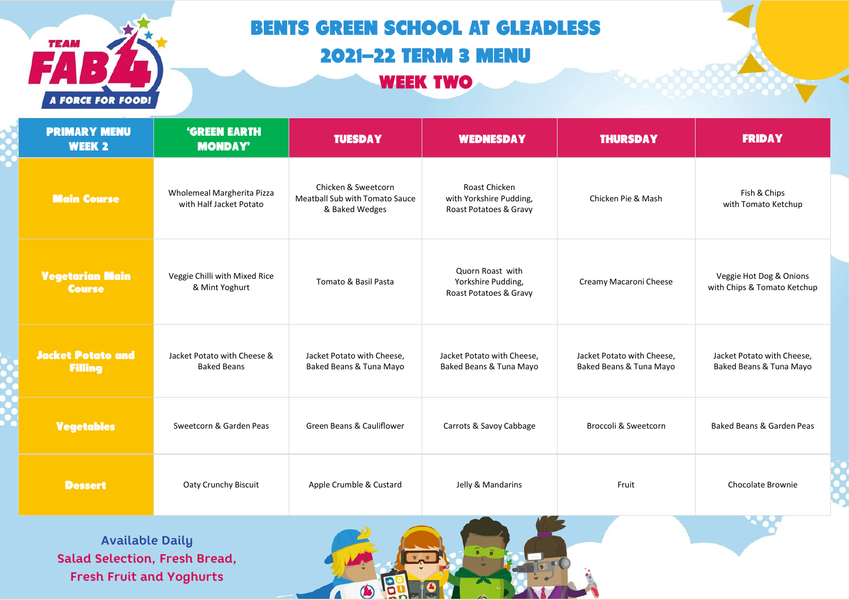

## **BENTS GREEN SCHOOL AT GLEADLESS 2021-22 TERM 3 MENU WEEK TWO**

| <b>PRIMARY MENU</b><br><b>WEEK 2</b>       | <b>'GREEN EARTH</b><br><b>MONDAY'</b>                 | <b>TUESDAY</b>                                                                 | <b>WEDNESDAY</b>                                                   | <b>THURSDAY</b>                                       | <b>FRIDAY</b>                                          |
|--------------------------------------------|-------------------------------------------------------|--------------------------------------------------------------------------------|--------------------------------------------------------------------|-------------------------------------------------------|--------------------------------------------------------|
| <b>Main Course</b>                         | Wholemeal Margherita Pizza<br>with Half Jacket Potato | Chicken & Sweetcorn<br><b>Meatball Sub with Tomato Sauce</b><br>& Baked Wedges | Roast Chicken<br>with Yorkshire Pudding,<br>Roast Potatoes & Gravy | Chicken Pie & Mash                                    | Fish & Chips<br>with Tomato Ketchup                    |
| <b>Vegetarian Main</b><br><b>Course</b>    | Veggie Chilli with Mixed Rice<br>& Mint Yoghurt       | Tomato & Basil Pasta                                                           | Quorn Roast with<br>Yorkshire Pudding,<br>Roast Potatoes & Gravy   | Creamy Macaroni Cheese                                | Veggie Hot Dog & Onions<br>with Chips & Tomato Ketchup |
| <b>Jacket Potato and</b><br><b>Filling</b> | Jacket Potato with Cheese &<br><b>Baked Beans</b>     | Jacket Potato with Cheese.<br>Baked Beans & Tuna Mayo                          | Jacket Potato with Cheese.<br>Baked Beans & Tuna Mayo              | Jacket Potato with Cheese.<br>Baked Beans & Tuna Mayo | Jacket Potato with Cheese,<br>Baked Beans & Tuna Mayo  |
| <b>Vegetables</b>                          | Sweetcorn & Garden Peas                               | Green Beans & Cauliflower                                                      | Carrots & Savoy Cabbage                                            | Broccoli & Sweetcorn                                  | Baked Beans & Garden Peas                              |
| <b>Dessert</b>                             | Oaty Crunchy Biscuit                                  | Apple Crumble & Custard                                                        | Jelly & Mandarins                                                  | Fruit                                                 | Chocolate Brownie                                      |

B

 $\bigcirc$ 

 $\Lambda$ 

**Available Daily Salad Selection, Fresh Bread, Fresh Fruit and Yoghurts**